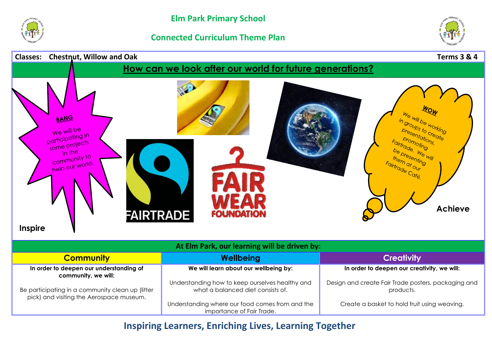

## **Connected Curriculum Theme Plan**





**Inspiring Learners, Enriching Lives, Learning Together**